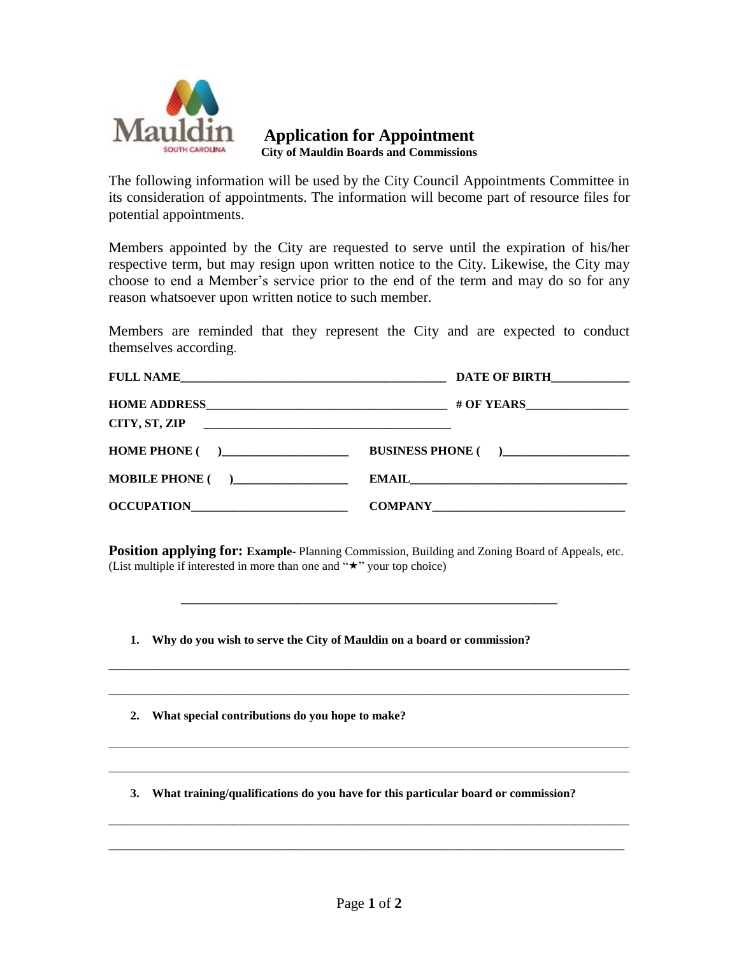

**Application for Appointment City of Mauldin Boards and Commissions**

The following information will be used by the City Council Appointments Committee in its consideration of appointments. The information will become part of resource files for potential appointments.

Members appointed by the City are requested to serve until the expiration of his/her respective term, but may resign upon written notice to the City. Likewise, the City may choose to end a Member's service prior to the end of the term and may do so for any reason whatsoever upon written notice to such member.

Members are reminded that they represent the City and are expected to conduct themselves according.

|                         | DATE OF BIRTH      |
|-------------------------|--------------------|
|                         |                    |
|                         |                    |
| HOME PHONE ()           | BUSINESS PHONE ( ) |
| <b>MOBILE PHONE</b> ( ) |                    |
|                         |                    |

**Position applying for: Example-** Planning Commission, Building and Zoning Board of Appeals, etc. (List multiple if interested in more than one and " $\star$ " your top choice)

**\_\_\_\_\_\_\_\_\_\_\_\_\_\_\_\_\_\_\_\_\_\_\_\_\_\_\_\_\_\_\_\_\_\_\_\_\_\_\_\_\_\_\_\_\_\_\_\_\_\_\_\_**

 $\Box$ 

\_\_\_\_\_\_\_\_\_\_\_\_\_\_\_\_\_\_\_\_\_\_\_\_\_\_\_\_\_\_\_\_\_\_\_\_\_\_\_\_\_\_\_\_\_\_\_\_\_\_\_\_\_\_\_\_\_\_\_\_\_\_\_\_\_\_\_\_\_\_\_\_\_\_\_\_\_\_\_\_\_\_\_\_\_\_\_\_\_\_\_\_\_\_\_\_

 $\overline{\phantom{a}}$  , and the contribution of the contribution of the contribution of the contribution of the contribution of the contribution of the contribution of the contribution of the contribution of the contribution of the

\_\_\_\_\_\_\_\_\_\_\_\_\_\_\_\_\_\_\_\_\_\_\_\_\_\_\_\_\_\_\_\_\_\_\_\_\_\_\_\_\_\_\_\_\_\_\_\_\_\_\_\_\_\_\_\_\_\_\_\_\_\_\_\_\_\_\_\_\_\_\_\_\_\_\_\_\_\_\_\_\_\_\_\_\_\_\_\_\_\_\_\_\_\_\_\_

 $\overline{\phantom{a}}$  ,  $\overline{\phantom{a}}$  ,  $\overline{\phantom{a}}$  ,  $\overline{\phantom{a}}$  ,  $\overline{\phantom{a}}$  ,  $\overline{\phantom{a}}$  ,  $\overline{\phantom{a}}$  ,  $\overline{\phantom{a}}$  ,  $\overline{\phantom{a}}$  ,  $\overline{\phantom{a}}$  ,  $\overline{\phantom{a}}$  ,  $\overline{\phantom{a}}$  ,  $\overline{\phantom{a}}$  ,  $\overline{\phantom{a}}$  ,  $\overline{\phantom{a}}$  ,  $\overline{\phantom{a}}$ 

 $\overline{\phantom{a}}$  , and the contribution of the contribution of the contribution of the contribution of the contribution of the contribution of the contribution of the contribution of the contribution of the contribution of the

**1. Why do you wish to serve the City of Mauldin on a board or commission?**

**2. What special contributions do you hope to make?**

**3. What training/qualifications do you have for this particular board or commission?**